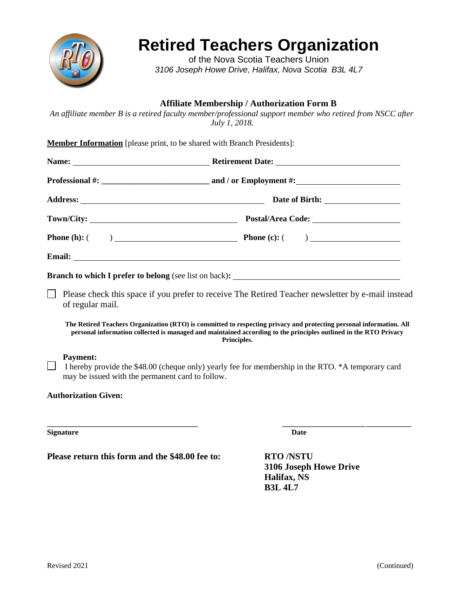

# **Retired Teachers Organization**

of the Nova Scotia Teachers Union *3106 Joseph Howe Drive, Halifax, Nova Scotia B3L 4L7*

## **Affiliate Membership / Authorization Form B**

*An affiliate member B is a retired faculty member/professional support member who retired from NSCC after July 1, 2018.*

| Member Information [please print, to be shared with Branch Presidents]: |
|-------------------------------------------------------------------------|
|-------------------------------------------------------------------------|

| <b>Phone</b> (h): $($ $)$ <b>Phone</b> (c): $($ $)$ |
|-----------------------------------------------------|
|                                                     |
|                                                     |

Please check this space if you prefer to receive The Retired Teacher newsletter by e-mail instead of regular mail.

**The Retired Teachers Organization (RTO) is committed to respecting privacy and protecting personal information. All personal information collected is managed and maintained according to the principles outlined in the RTO Privacy Principles.**

#### **Payment:**

I hereby provide the  $$48.00$  (cheque only) yearly fee for membership in the RTO.  $*$ A temporary card may be issued with the permanent card to follow.

**\_\_\_\_\_\_\_\_\_\_\_\_\_\_\_\_\_\_\_\_\_\_\_\_\_\_\_\_\_\_\_\_\_\_\_\_\_\_\_\_ \_\_\_\_\_\_\_\_\_\_\_\_\_\_\_\_\_\_\_\_\_\_\_\_\_\_\_\_\_\_\_\_\_\_**

#### **Authorization Given:**

**Signature Date**

**Please return this form and the \$48.00 fee to: RTO /NSTU**

**3106 Joseph Howe Drive Halifax, NS B3L 4L7**